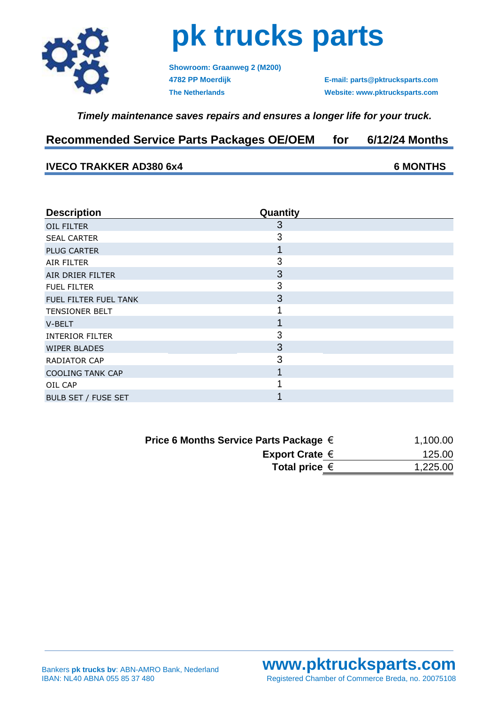

## **pk trucks parts**

**Showroom: Graanweg 2 (M200) 4782 PP Moerdijk E-mail: parts@pktrucksparts.com**

**The Netherlands Website: www.pktrucksparts.com**

### *Timely maintenance saves repairs and ensures a longer life for your truck.*

## **Recommended Service Parts Packages OE/OEM for 6/12/24 Months**

### **IVECO TRAKKER AD380 6x4 6 MONTHS**

| <b>Description</b>      | Quantity |  |
|-------------------------|----------|--|
| OIL FILTER              | 3        |  |
| <b>SEAL CARTER</b>      | 3        |  |
| <b>PLUG CARTER</b>      | 1        |  |
| AIR FILTER              | 3        |  |
| AIR DRIER FILTER        | 3        |  |
| <b>FUEL FILTER</b>      | 3        |  |
| FUEL FILTER FUEL TANK   | 3        |  |
| <b>TENSIONER BELT</b>   |          |  |
| V-BELT                  | 1        |  |
| <b>INTERIOR FILTER</b>  | 3        |  |
| <b>WIPER BLADES</b>     | 3        |  |
| RADIATOR CAP            | 3        |  |
| <b>COOLING TANK CAP</b> |          |  |
| OIL CAP                 |          |  |
| BULB SET / FUSE SET     |          |  |

| Price 6 Months Service Parts Package $\in$ | 1,100.00 |
|--------------------------------------------|----------|
| Export Crate $\epsilon$                    | 125.00   |
| Total price $\epsilon$                     | 1,225.00 |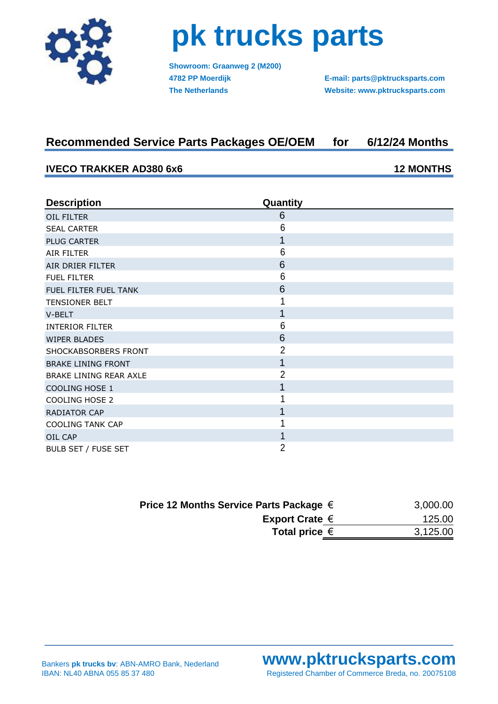

## **pk trucks parts**

**Showroom: Graanweg 2 (M200)**

**4782 PP Moerdijk E-mail: parts@pktrucksparts.com The Netherlands Website: www.pktrucksparts.com**

## **Recommended Service Parts Packages OE/OEM for 6/12/24 Months**

#### **IVECO TRAKKER AD380 6x6 12 MONTHS**

**Description Quantity** OIL FILTER 6 SEAL CARTER 6 PLUG CARTER **1 PLUG CARTER** 1 AIR FILTER 6 AIR DRIER FILTER 6 FUEL FILTER 6 FUEL FILTER FUEL TANK 6 TENSIONER BELT 1  $V$ -BELT  $\qquad \qquad$  1 INTERIOR FILTER 6 WIPER BLADES 6 SHOCKABSORBERS FRONT 2 BRAKE LINING FRONT 1 2007 1 BRAKE LINING REAR AXLE 2 COOLING HOSE 1 1 COOLING HOSE 2 1 RADIATOR CAP **1** COOLING TANK CAP 1 OIL CAP **1** BULB SET / FUSE SET 2

| Price 12 Months Service Parts Package $\in$ | 3,000.00 |
|---------------------------------------------|----------|
| Export Crate $\in$                          | 125.00   |
| Total price $\epsilon$                      | 3,125.00 |